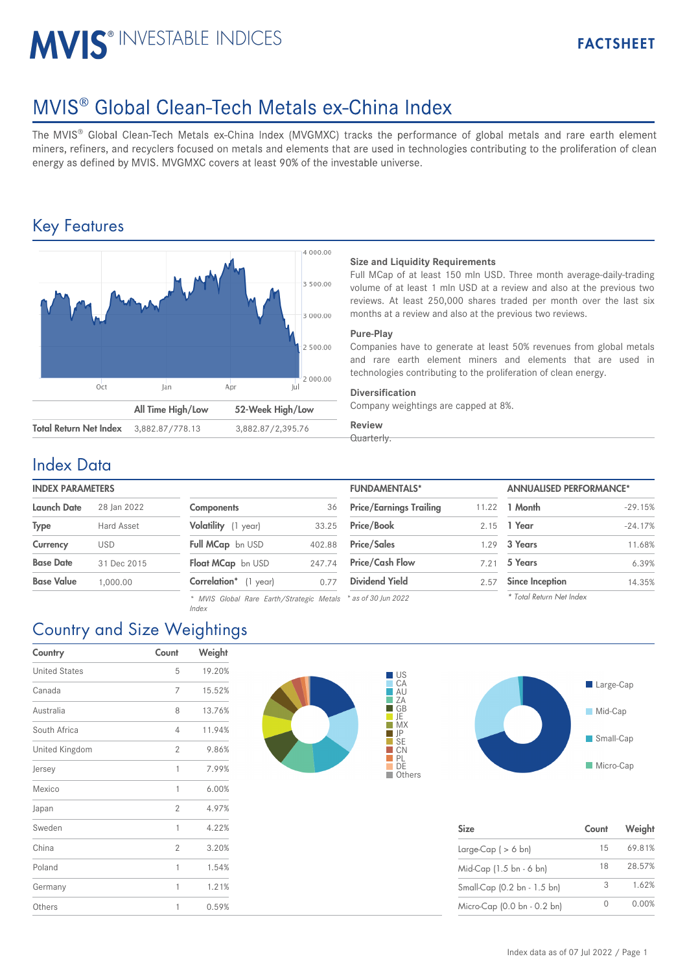# MVIS<sup>®</sup> INVESTABLE INDICES

## MVIS<sup>®</sup> Global Clean-Tech Metals ex-China Index

The MVIS® Global Clean-Tech Metals ex-China Index (MVGMXC) tracks the performance of global metals and rare earth element miners, refiners, and recyclers focused on metals and elements that are used in technologies contributing to the proliferation of clean energy as defined by MVIS. MVGMXC covers at least 90% of the investable universe.

### Key Features



#### **Size and Liquidity Requirements**

Full MCap of at least 150 mln USD. Three month average-daily-trading volume of at least 1 mln USD at a review and also at the previous two reviews. At least 250,000 shares traded per month over the last six months at a review and also at the previous two reviews.

#### **Pure-Play**

Companies have to generate at least 50% revenues from global metals and rare earth element miners and elements that are used in technologies contributing to the proliferation of clean energy.

#### **Diversification**

Company weightings are capped at 8%.

#### **Review** Quarterly.

### Index Data

| <b>Launch Date</b> | 28 Ian 2022 |  |  |
|--------------------|-------------|--|--|
| <b>Type</b>        | Hard Asset  |  |  |
| Currency           | USD         |  |  |
| <b>Base Date</b>   | 31 Dec 2015 |  |  |
| <b>Base Value</b>  | 1,000.00    |  |  |
|                    |             |  |  |

| <b>Components</b>        | 36     |
|--------------------------|--------|
| Volatility (1 year)      | 33.25  |
| Full MCap bn USD         | 402.88 |
| <b>Float MCap</b> bn USD | 247.74 |
| Correlation* (1 year)    | 0.77   |

*\* MVIS Global Rare Earth/Strategic Metals \* as of 30 Jun 2022 Index*

| <b>INDEX PARAMETERS</b> |             |                                                               |        | <b>FUNDAMENTALS*</b>           |       | <b>ANNUALISED PERFORMANCE*</b> |           |
|-------------------------|-------------|---------------------------------------------------------------|--------|--------------------------------|-------|--------------------------------|-----------|
| Launch Date             | 28 Ian 2022 | Components                                                    | 36     | <b>Price/Earnings Trailing</b> | 11.22 | 1 Month                        | $-29.15%$ |
| Type                    | Hard Asset  | Volatility (1 year)                                           | 33.25  | <b>Price/Book</b>              | 2.15  | 1 Year                         | $-24.17%$ |
| Currency                | <b>USD</b>  | Full MCap bn USD                                              | 402.88 | <b>Price/Sales</b>             | 1.29  | 3 Years                        | 11.68%    |
| Base Date               | 31 Dec 2015 | Float MCap bn USD                                             | 247.74 | <b>Price/Cash Flow</b>         | 7.21  | 5 Years                        | 6.39%     |
| Base Value              | 1.000.00    | <b>Correlation</b> * (1 year)                                 | 0.77   | <b>Dividend Yield</b>          | 2.57  | <b>Since Inception</b>         | 14.35%    |
|                         |             | * MVIS Global Rare Farth/Strategic Metals * as of 30 lun 2022 |        |                                |       | * Total Return Net Index       |           |



| <b>Size</b>                 | Count    | Weight |
|-----------------------------|----------|--------|
| Large-Cap $( > 6$ bn)       | 15       | 69.81% |
| Mid-Cap (1.5 bn - 6 bn)     | 18       | 28.57% |
| Small-Cap (0.2 bn - 1.5 bn) | 3        | 1.62%  |
| Micro-Cap (0.0 bn - 0.2 bn) | $^{(+)}$ | 0.00%  |

## Country and Size Weightings

| Country              | Count          | Weight |
|----------------------|----------------|--------|
| <b>United States</b> | 5              | 19.20% |
| Canada               | 7              | 15.52% |
| Australia            | 8              | 13.76% |
| South Africa         | 4              | 11.94% |
| United Kingdom       | $\overline{2}$ | 9.86%  |
| Jersey               | $\mathbf{1}$   | 7.99%  |
| Mexico               | 1              | 6.00%  |
| Japan                | $\overline{2}$ | 4.97%  |
| Sweden               | 1              | 4.22%  |
| China                | $\overline{2}$ | 3.20%  |
| Poland               | 1              | 1.54%  |
| Germany              | 1              | 1.21%  |
| Others               | 1              | 0.59%  |